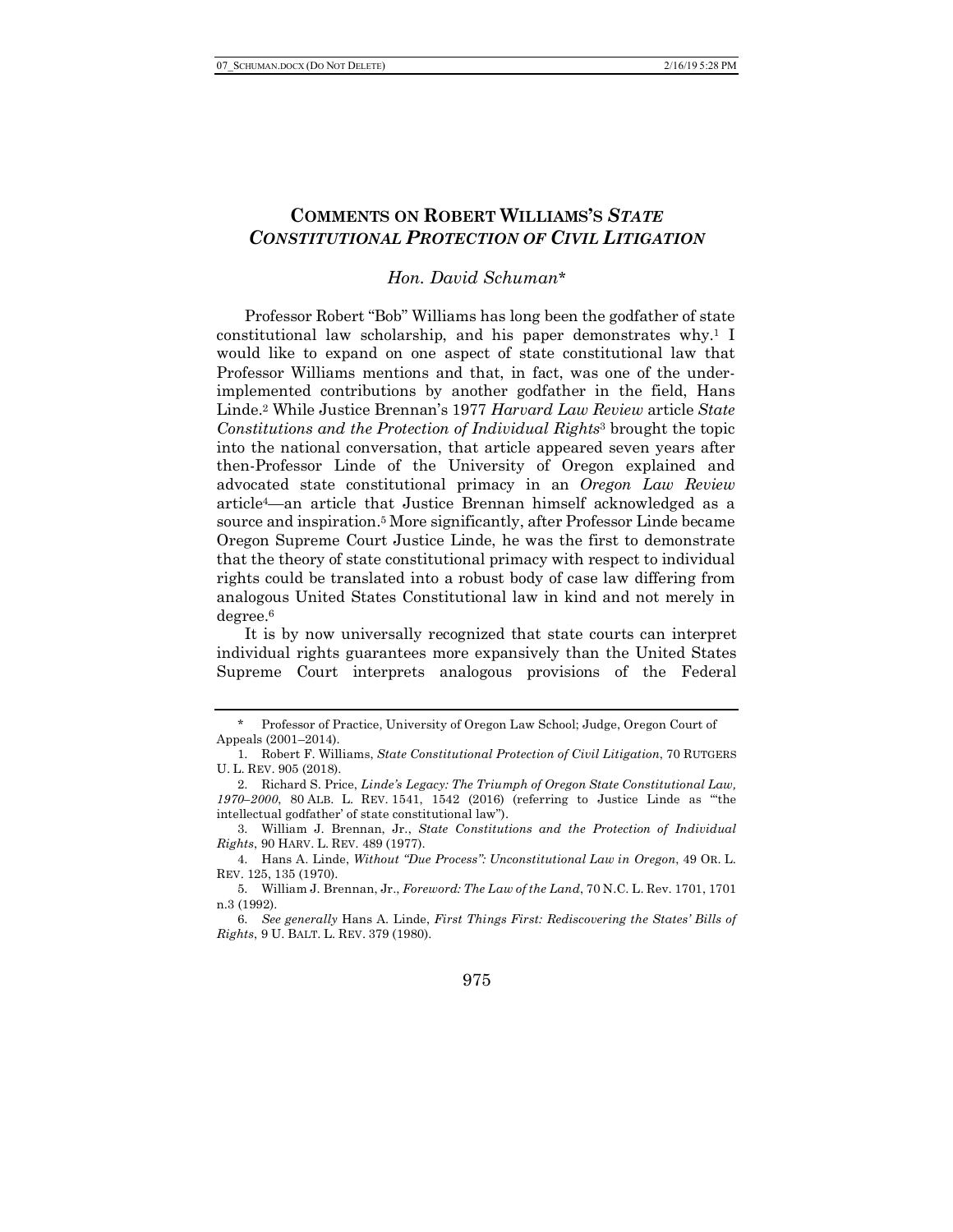# **COMMENTS ON ROBERT WILLIAMS'S** *STATE CONSTITUTIONAL PROTECTION OF CIVIL LITIGATION*

### *Hon. David Schuman*\*

Professor Robert "Bob" Williams has long been the godfather of state constitutional law scholarship, and his paper demonstrates why.1 I would like to expand on one aspect of state constitutional law that Professor Williams mentions and that, in fact, was one of the underimplemented contributions by another godfather in the field, Hans Linde.2 While Justice Brennan's 1977 *Harvard Law Review* article *State Constitutions and the Protection of Individual Rights*<sup>3</sup> brought the topic into the national conversation, that article appeared seven years after then-Professor Linde of the University of Oregon explained and advocated state constitutional primacy in an *Oregon Law Review* article4—an article that Justice Brennan himself acknowledged as a source and inspiration.5 More significantly, after Professor Linde became Oregon Supreme Court Justice Linde, he was the first to demonstrate that the theory of state constitutional primacy with respect to individual rights could be translated into a robust body of case law differing from analogous United States Constitutional law in kind and not merely in degree.6

It is by now universally recognized that state courts can interpret individual rights guarantees more expansively than the United States Supreme Court interprets analogous provisions of the Federal

#### 975

<sup>\*</sup> Professor of Practice, University of Oregon Law School; Judge, Oregon Court of Appeals (2001–2014).

<sup>1.</sup> Robert F. Williams, *State Constitutional Protection of Civil Litigation*, 70 RUTGERS U. L. REV. 905 (2018).

<sup>2.</sup> Richard S. Price, *Linde's Legacy: The Triumph of Oregon State Constitutional Law, 1970–2000*, 80 ALB. L. REV. 1541, 1542 (2016) (referring to Justice Linde as "'the intellectual godfather' of state constitutional law").

<sup>3.</sup> William J. Brennan, Jr., *State Constitutions and the Protection of Individual Rights*, 90 HARV. L. REV*.* 489 (1977).

<sup>4.</sup> Hans A. Linde, *Without "Due Process": Unconstitutional Law in Oregon*, 49 OR. L. REV. 125, 135 (1970).

<sup>5.</sup> William J. Brennan, Jr., *Foreword: The Law of the Land*, 70 N.C. L. Rev. 1701, 1701 n.3 (1992).

<sup>6.</sup> *See generally* Hans A. Linde, *First Things First: Rediscovering the States' Bills of Rights*, 9 U. BALT. L. REV. 379 (1980).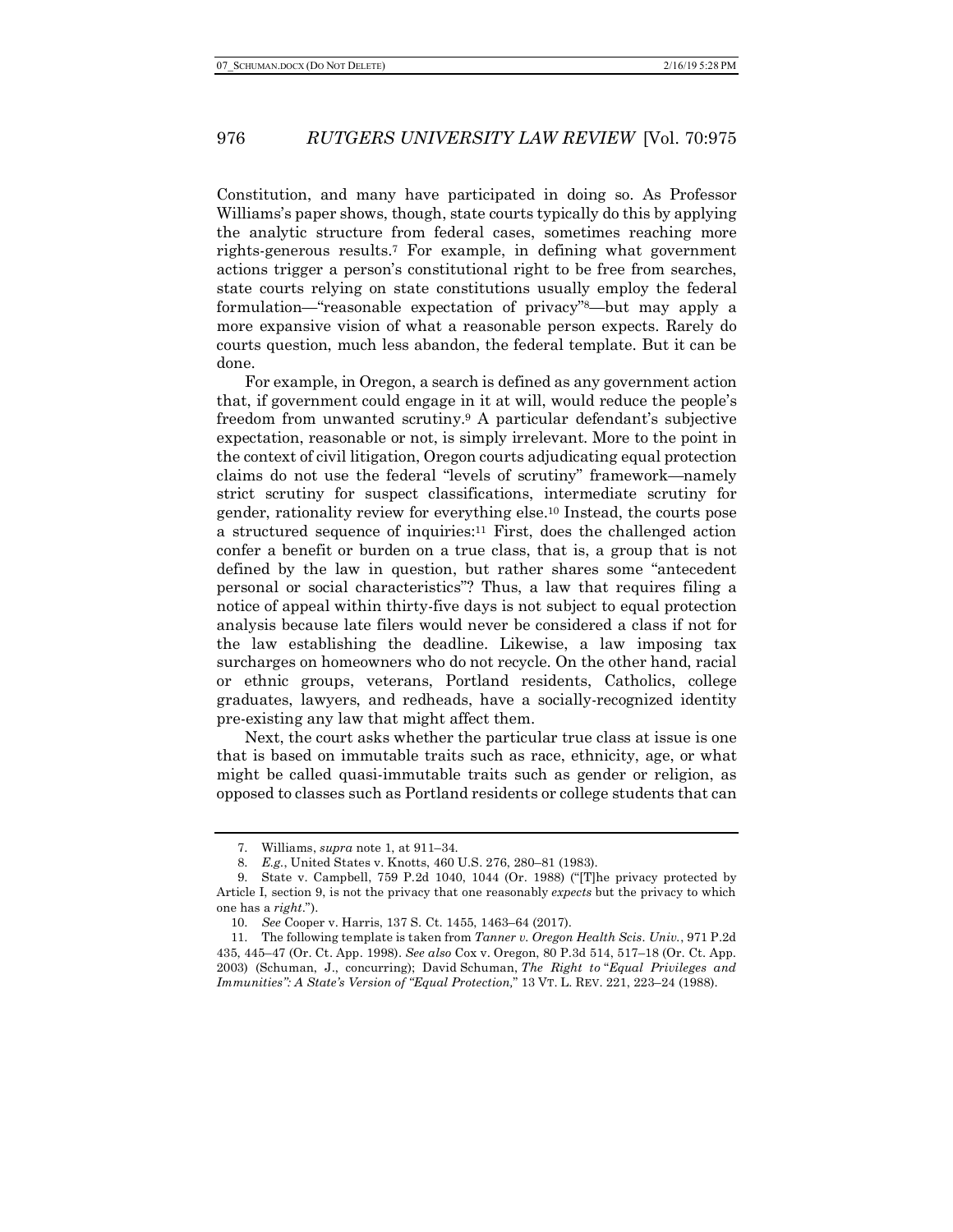### 976 *RUTGERS UNIVERSITY LAW REVIEW* [Vol. 70:975

Constitution, and many have participated in doing so. As Professor Williams's paper shows, though, state courts typically do this by applying the analytic structure from federal cases, sometimes reaching more rights-generous results.7 For example, in defining what government actions trigger a person's constitutional right to be free from searches, state courts relying on state constitutions usually employ the federal formulation—"reasonable expectation of privacy"8—but may apply a more expansive vision of what a reasonable person expects. Rarely do courts question, much less abandon, the federal template. But it can be done.

For example, in Oregon, a search is defined as any government action that, if government could engage in it at will, would reduce the people's freedom from unwanted scrutiny.9 A particular defendant's subjective expectation, reasonable or not, is simply irrelevant. More to the point in the context of civil litigation, Oregon courts adjudicating equal protection claims do not use the federal "levels of scrutiny" framework—namely strict scrutiny for suspect classifications, intermediate scrutiny for gender, rationality review for everything else.10 Instead, the courts pose a structured sequence of inquiries:11 First, does the challenged action confer a benefit or burden on a true class, that is, a group that is not defined by the law in question, but rather shares some "antecedent personal or social characteristics"? Thus, a law that requires filing a notice of appeal within thirty-five days is not subject to equal protection analysis because late filers would never be considered a class if not for the law establishing the deadline. Likewise, a law imposing tax surcharges on homeowners who do not recycle. On the other hand, racial or ethnic groups, veterans, Portland residents, Catholics, college graduates, lawyers, and redheads, have a socially-recognized identity pre-existing any law that might affect them.

Next, the court asks whether the particular true class at issue is one that is based on immutable traits such as race, ethnicity, age, or what might be called quasi-immutable traits such as gender or religion, as opposed to classes such as Portland residents or college students that can

<sup>7.</sup> Williams, *supra* note 1, at 911–34.

<sup>8.</sup> *E.g.*, United States v. Knotts, 460 U.S. 276, 280–81 (1983).

<sup>9.</sup> State v. Campbell, 759 P.2d 1040, 1044 (Or. 1988) ("[T]he privacy protected by Article I, section 9, is not the privacy that one reasonably *expects* but the privacy to which one has a *right*.").

<sup>10.</sup> *See* Cooper v. Harris, 137 S. Ct. 1455, 1463–64 (2017).

<sup>11.</sup> The following template is taken from *Tanner v. Oregon Health Scis. Univ.*, 971 P.2d 435, 445–47 (Or. Ct. App. 1998). *See also* Cox v. Oregon, 80 P.3d 514, 517–18 (Or. Ct. App. 2003) (Schuman, J., concurring); David Schuman, *The Right to* "*Equal Privileges and Immunities": A State's Version of "Equal Protection,*" 13 VT. L. REV. 221, 223–24 (1988).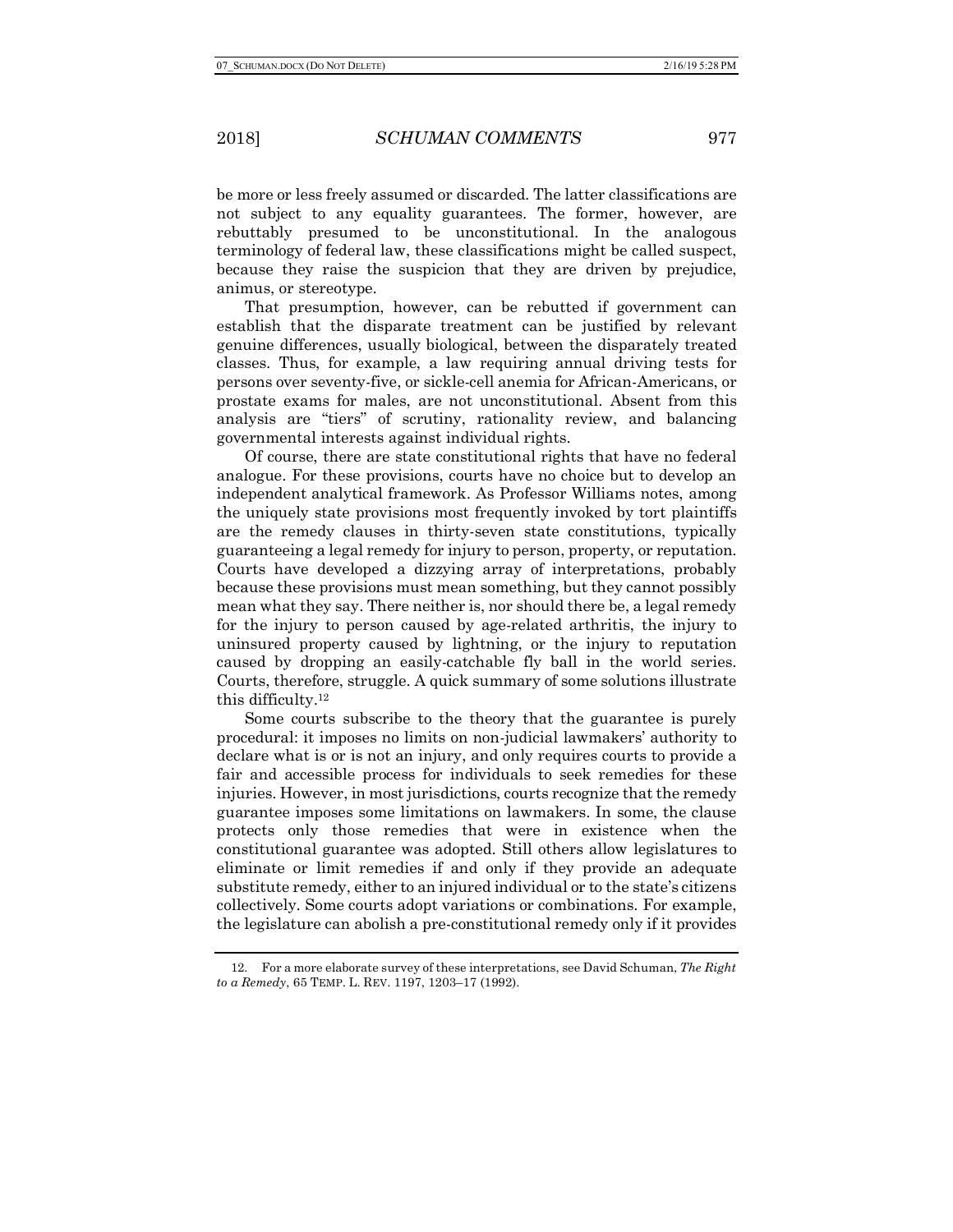2018] *SCHUMAN COMMENTS* 977

be more or less freely assumed or discarded. The latter classifications are not subject to any equality guarantees. The former, however, are rebuttably presumed to be unconstitutional. In the analogous terminology of federal law, these classifications might be called suspect, because they raise the suspicion that they are driven by prejudice, animus, or stereotype.

That presumption, however, can be rebutted if government can establish that the disparate treatment can be justified by relevant genuine differences, usually biological, between the disparately treated classes. Thus, for example, a law requiring annual driving tests for persons over seventy-five, or sickle-cell anemia for African-Americans, or prostate exams for males, are not unconstitutional. Absent from this analysis are "tiers" of scrutiny, rationality review, and balancing governmental interests against individual rights.

Of course, there are state constitutional rights that have no federal analogue. For these provisions, courts have no choice but to develop an independent analytical framework. As Professor Williams notes, among the uniquely state provisions most frequently invoked by tort plaintiffs are the remedy clauses in thirty-seven state constitutions, typically guaranteeing a legal remedy for injury to person, property, or reputation. Courts have developed a dizzying array of interpretations, probably because these provisions must mean something, but they cannot possibly mean what they say. There neither is, nor should there be, a legal remedy for the injury to person caused by age-related arthritis, the injury to uninsured property caused by lightning, or the injury to reputation caused by dropping an easily-catchable fly ball in the world series. Courts, therefore, struggle. A quick summary of some solutions illustrate this difficulty.12

Some courts subscribe to the theory that the guarantee is purely procedural: it imposes no limits on non-judicial lawmakers' authority to declare what is or is not an injury, and only requires courts to provide a fair and accessible process for individuals to seek remedies for these injuries. However, in most jurisdictions, courts recognize that the remedy guarantee imposes some limitations on lawmakers. In some, the clause protects only those remedies that were in existence when the constitutional guarantee was adopted. Still others allow legislatures to eliminate or limit remedies if and only if they provide an adequate substitute remedy, either to an injured individual or to the state's citizens collectively. Some courts adopt variations or combinations. For example, the legislature can abolish a pre-constitutional remedy only if it provides

<sup>12.</sup> For a more elaborate survey of these interpretations, see David Schuman, *The Right to a Remedy*, 65 TEMP. L. REV. 1197, 1203–17 (1992).